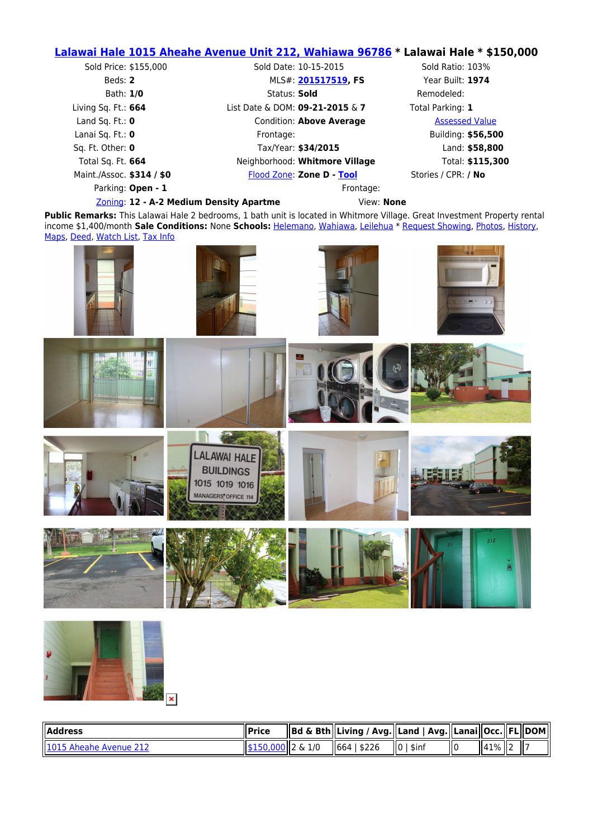## **[Lalawai Hale 1015 Aheahe Avenue Unit 212, Wahiawa 96786](https://www.google.com/maps/place/1015 Aheahe Avenue ,+Wahiawa,+HI+96786) \* Lalawai Hale \* \$150,000**

| Sold Price: \$155,000                   | Sold Date: 10-15-2015           | Sold Ratio: 103%      |  |
|-----------------------------------------|---------------------------------|-----------------------|--|
| Beds: 2                                 | MLS#: 201517519, FS             | Year Built: 1974      |  |
| Bath: 1/0                               | Status: Sold                    | Remodeled:            |  |
| Living Sq. Ft.: $664$                   | List Date & DOM: 09-21-2015 & 7 | Total Parking: 1      |  |
| Land Sq. Ft.: $\mathbf 0$               | Condition: Above Average        | <b>Assessed Value</b> |  |
| Lanai Sq. Ft.: $\mathbf 0$              | Frontage:                       | Building: \$56,500    |  |
| Sq. Ft. Other: 0                        | Tax/Year: \$34/2015             | Land: \$58,800        |  |
| Total Sq. Ft. 664                       | Neighborhood: Whitmore Village  | Total: \$115,300      |  |
| Maint./Assoc. \$314 / \$0               | Flood Zone: Zone D - Tool       | Stories / CPR: / No   |  |
| Parking: Open - 1                       |                                 | Frontage:             |  |
| Zoning: 12 - A-2 Medium Density Apartme |                                 | View: None            |  |

**Public Remarks:** This Lalawai Hale 2 bedrooms, 1 bath unit is located in Whitmore Village. Great Investment Property rental income \$1,400/month **Sale Conditions:** None **Schools:** [Helemano](https://www.oahure.com/InstantSearch.php?&Status=Active&PropertyType=CND&ElementarySchool1=Helemano), [Wahiawa](https://www.oahure.com/InstantSearch.php?&Status=Active&PropertyType=CND&MiddleOrJuniorSchool1=Wahiawa), [Leilehua](https://www.oahure.com/InstantSearch.php?&Status=Active&PropertyType=CND&HighSchool1=Leilehua) \* [Request Showing](https://www.oahure.com/ShowingRequestForm.php?MLSNumber=201517519&Region=Central&Price=150000), [Photos,](https://www.oahure.com/SearchMLS_Details.php?MLSNumber=201517519&PropertyType=CND#photos) [History](https://www.oahure.com/SearchMLS_Details.php?MLSNumber=201517519&PropertyType=CND#history), [Maps,](https://www.oahure.com/SearchMLS_Details.php?MLSNumber=201517519&PropertyType=CND#maps) [Deed,](https://www.oahure.com/SearchMLS_Details.php?MLSNumber=201517519&PropertyType=CND#deed) [Watch List](https://www.oahure.com/SearchMLS_Details.php?MLSNumber=201517519&PropertyType=CND#watch), [Tax Info](https://www.oahure.com/SearchMLS_Details.php?MLSNumber=201517519&PropertyType=CND#tax)





| <b>I</b> Address                | ll Price                                  | Bd & Bth  Living / Avg.  Land   Avg.  Lanai  Occ.  FL  DOM |                            |         |  |
|---------------------------------|-------------------------------------------|------------------------------------------------------------|----------------------------|---------|--|
| <b>II1015 Aheahe Avenue 212</b> | $\parallel$ \$150,000 $\parallel$ 2 & 1/0 | 1664   \$226                                               | $\mathsf{I}$ lo<br>' \$inf | 41%   2 |  |